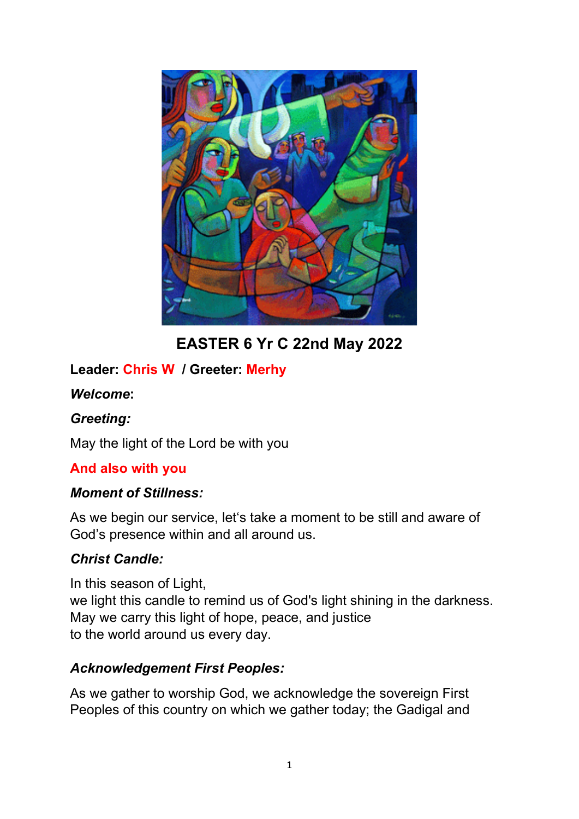

**EASTER 6 Yr C 22nd May 2022**

# **Leader: Chris W / Greeter: Merhy**

#### *Welcome***:**

#### *Greeting:*

May the light of the Lord be with you

# **And also with you**

#### *Moment of Stillness:*

As we begin our service, let's take a moment to be still and aware of God's presence within and all around us.

# *Christ Candle:*

In this season of Light, we light this candle to remind us of God's light shining in the darkness. May we carry this light of hope, peace, and justice to the world around us every day.

#### *Acknowledgement First Peoples:*

As we gather to worship God, we acknowledge the sovereign First Peoples of this country on which we gather today; the Gadigal and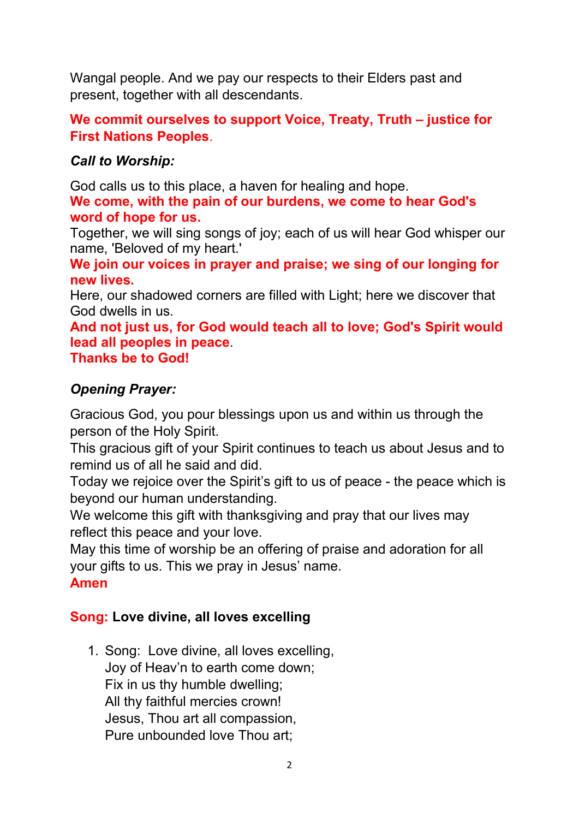Wangal people. And we pay our respects to their Elders past and present, together with all descendants.

# **We commit ourselves to support Voice, Treaty, Truth – justice for First Nations Peoples**.

### *Call to Worship:*

God calls us to this place, a haven for healing and hope. **We come, with the pain of our burdens, we come to hear God's** 

#### **word of hope for us.**

Together, we will sing songs of joy; each of us will hear God whisper our name, 'Beloved of my heart.'

**We join our voices in prayer and praise; we sing of our longing for new lives.**

Here, our shadowed corners are filled with Light; here we discover that God dwells in us.

**And not just us, for God would teach all to love; God's Spirit would lead all peoples in peace**. **Thanks be to God!**

# *Opening Prayer:*

Gracious God, you pour blessings upon us and within us through the person of the Holy Spirit.

This gracious gift of your Spirit continues to teach us about Jesus and to remind us of all he said and did.

Today we rejoice over the Spirit's gift to us of peace - the peace which is beyond our human understanding.

We welcome this gift with thanksgiving and pray that our lives may reflect this peace and your love.

May this time of worship be an offering of praise and adoration for all your gifts to us. This we pray in Jesus' name.

#### **Amen**

# **Song: Love divine, all loves excelling**

1. Song: Love divine, all loves excelling, Joy of Heav'n to earth come down; Fix in us thy humble dwelling; All thy faithful mercies crown! Jesus, Thou art all compassion, Pure unbounded love Thou art;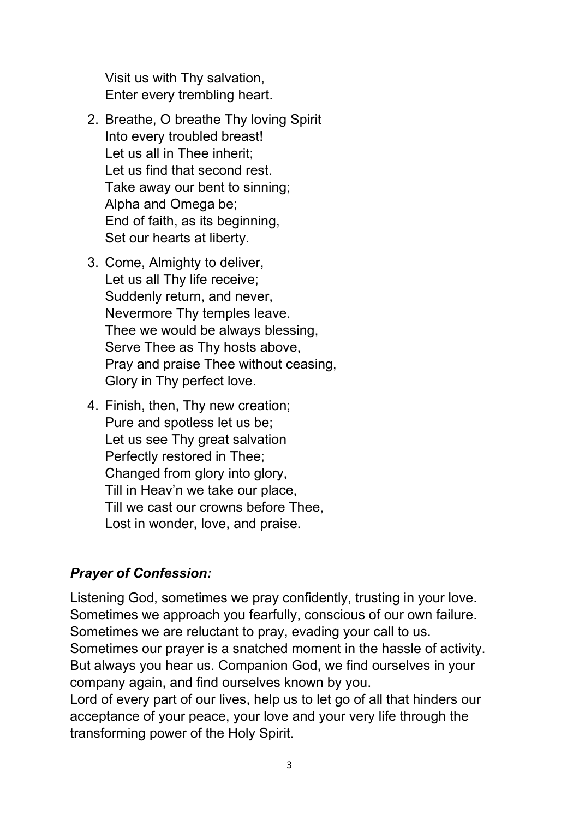Visit us with Thy salvation, Enter every trembling heart.

- 2. Breathe, O breathe Thy loving Spirit Into every troubled breast! Let us all in Thee inherit; Let us find that second rest. Take away our bent to sinning; Alpha and Omega be; End of faith, as its beginning, Set our hearts at liberty.
- 3. Come, Almighty to deliver, Let us all Thy life receive; Suddenly return, and never, Nevermore Thy temples leave. Thee we would be always blessing, Serve Thee as Thy hosts above, Pray and praise Thee without ceasing, Glory in Thy perfect love.
- 4. Finish, then, Thy new creation; Pure and spotless let us be; Let us see Thy great salvation Perfectly restored in Thee; Changed from glory into glory, Till in Heav'n we take our place, Till we cast our crowns before Thee, Lost in wonder, love, and praise.

# *Prayer of Confession:*

Listening God, sometimes we pray confidently, trusting in your love. Sometimes we approach you fearfully, conscious of our own failure. Sometimes we are reluctant to pray, evading your call to us. Sometimes our prayer is a snatched moment in the hassle of activity. But always you hear us. Companion God, we find ourselves in your company again, and find ourselves known by you.

Lord of every part of our lives, help us to let go of all that hinders our acceptance of your peace, your love and your very life through the transforming power of the Holy Spirit.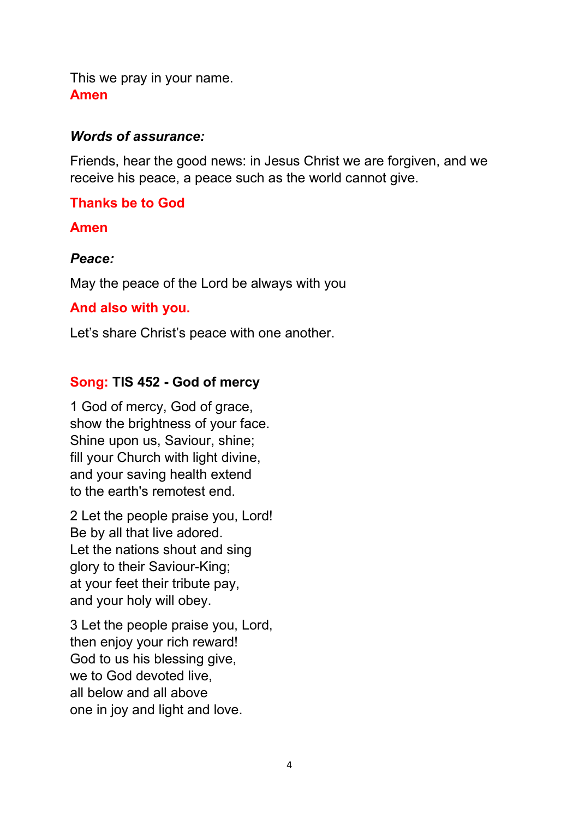This we pray in your name. **Amen**

#### *Words of assurance:*

Friends, hear the good news: in Jesus Christ we are forgiven, and we receive his peace, a peace such as the world cannot give.

### **Thanks be to God**

**Amen**

#### *Peace:*

May the peace of the Lord be always with you

#### **And also with you.**

Let's share Christ's peace with one another.

# **Song: TIS 452 - God of mercy**

1 God of mercy, God of grace, show the brightness of your face. Shine upon us, Saviour, shine; fill your Church with light divine, and your saving health extend to the earth's remotest end.

2 Let the people praise you, Lord! Be by all that live adored. Let the nations shout and sing glory to their Saviour-King; at your feet their tribute pay, and your holy will obey.

3 Let the people praise you, Lord, then enjoy your rich reward! God to us his blessing give, we to God devoted live, all below and all above one in joy and light and love.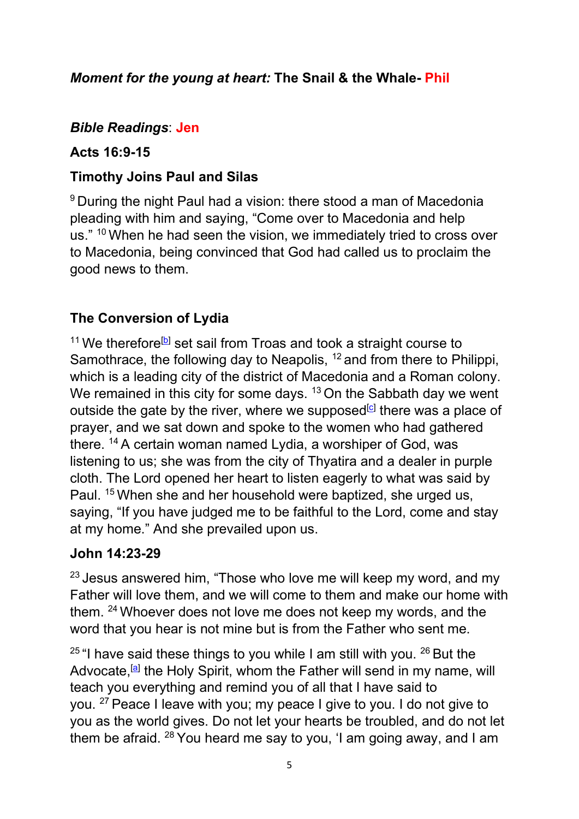# *Moment for the young at heart:* **The Snail & the Whale- Phil**

#### *Bible Readings*: **Jen**

#### **Acts 16:9-15**

### **Timothy Joins Paul and Silas**

<sup>9</sup> During the night Paul had a vision: there stood a man of Macedonia pleading with him and saying, "Come over to Macedonia and help us." <sup>10</sup> When he had seen the vision, we immediately tried to cross over to Macedonia, being convinced that God had called us to proclaim the good news to them.

# **The Conversion of Lydia**

<sup>11</sup> We therefore<sup>[\[b\]](https://www.biblegateway.com/passage/?search=Acts+16&version=NRSVUE&msclkid=873d0a51cfe611ec9d0b3d2099cc0647#fen-NRSVUE-27482b)</sup> set sail from Troas and took a straight course to Samothrace, the following day to Neapolis, <sup>12</sup> and from there to Philippi, which is a leading city of the district of Macedonia and a Roman colony. We remained in this city for some days.  $13$  On the Sabbath day we went outside the gate by the river, where we supposed $[c]$  there was a place of prayer, and we sat down and spoke to the women who had gathered there. <sup>14</sup> A certain woman named Lydia, a worshiper of God, was listening to us; she was from the city of Thyatira and a dealer in purple cloth. The Lord opened her heart to listen eagerly to what was said by Paul. <sup>15</sup> When she and her household were baptized, she urged us, saying, "If you have judged me to be faithful to the Lord, come and stay at my home." And she prevailed upon us.

#### **John 14:23-29**

 $23$  Jesus answered him, "Those who love me will keep my word, and my Father will love them, and we will come to them and make our home with them. <sup>24</sup> Whoever does not love me does not keep my words, and the word that you hear is not mine but is from the Father who sent me.

 $25$  "I have said these things to you while I am still with you.  $26$  But the Advocate,<sup>[\[a\]](https://www.biblegateway.com/passage/?search=John+14%3a23-29&version=NRSVUE&msclkid=c0a9f275cfe711ecaa0282889613a73b#fen-NRSVUE-26684a)</sup> the Holy Spirit, whom the Father will send in my name, will teach you everything and remind you of all that I have said to you. <sup>27</sup> Peace I leave with you; my peace I give to you. I do not give to you as the world gives. Do not let your hearts be troubled, and do not let them be afraid. <sup>28</sup> You heard me say to you, 'I am going away, and I am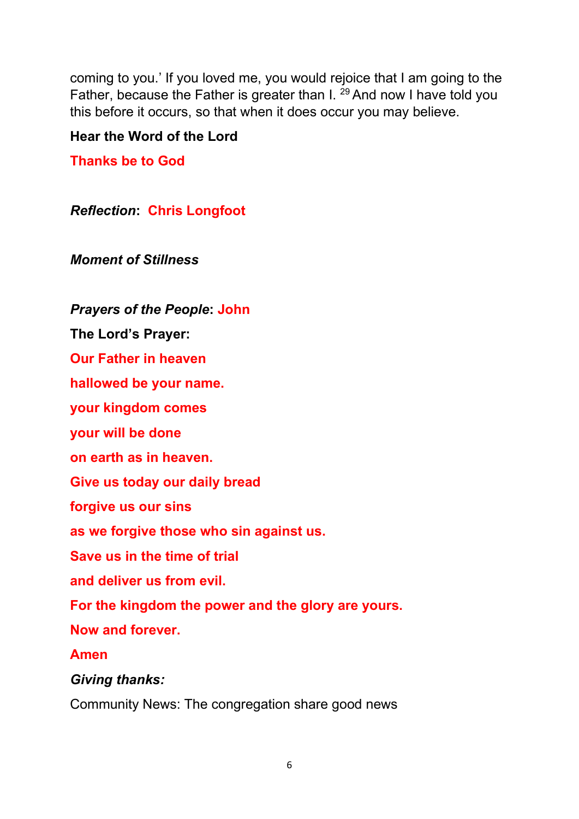coming to you.' If you loved me, you would rejoice that I am going to the Father, because the Father is greater than I.<sup>29</sup> And now I have told you this before it occurs, so that when it does occur you may believe.

### **Hear the Word of the Lord**

**Thanks be to God**

*Reflection***: Chris Longfoot**

*Moment of Stillness*

*Prayers of the People***: John**

**The Lord's Prayer:**

**Our Father in heaven**

**hallowed be your name.**

**your kingdom comes**

**your will be done**

**on earth as in heaven.**

**Give us today our daily bread** 

**forgive us our sins** 

**as we forgive those who sin against us.** 

**Save us in the time of trial** 

**and deliver us from evil.**

**For the kingdom the power and the glory are yours.** 

**Now and forever.** 

**Amen**

*Giving thanks:* 

Community News: The congregation share good news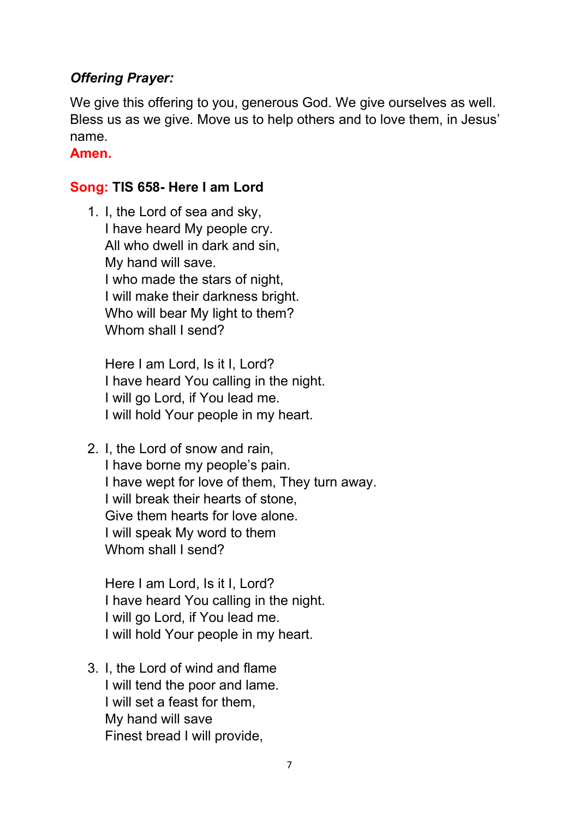### *Offering Prayer:*

We give this offering to you, generous God. We give ourselves as well. Bless us as we give. Move us to help others and to love them, in Jesus' name.

**Amen.**

#### **Song: TIS 658- Here I am Lord**

1. I, the Lord of sea and sky, I have heard My people cry. All who dwell in dark and sin, My hand will save. I who made the stars of night, I will make their darkness bright. Who will bear My light to them? Whom shall I send?

Here I am Lord, Is it I, Lord? I have heard You calling in the night. I will go Lord, if You lead me. I will hold Your people in my heart.

2. I, the Lord of snow and rain, I have borne my people's pain. I have wept for love of them, They turn away. I will break their hearts of stone, Give them hearts for love alone. I will speak My word to them Whom shall I send?

Here I am Lord, Is it I, Lord? I have heard You calling in the night. I will go Lord, if You lead me. I will hold Your people in my heart.

3. I, the Lord of wind and flame I will tend the poor and lame. I will set a feast for them, My hand will save Finest bread I will provide,